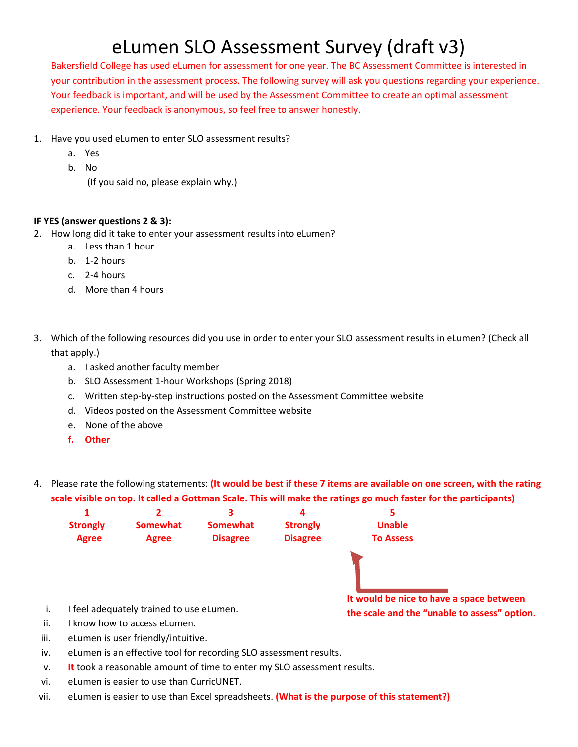Bakersfield College has used eLumen for assessment for one year. The BC Assessment Committee is interested in your contribution in the assessment process. The following survey will ask you questions regarding your experience. Your feedback is important, and will be used by the Assessment Committee to create an optimal assessment experience. Your feedback is anonymous, so feel free to answer honestly.

- 1. Have you used eLumen to enter SLO assessment results?
	- a. Yes
	- b. No
		- (If you said no, please explain why.)

### **IF YES (answer questions 2 & 3):**

- 2. How long did it take to enter your assessment results into eLumen?
	- a. Less than 1 hour
	- b. 1-2 hours
	- c. 2-4 hours
	- d. More than 4 hours
- 3. Which of the following resources did you use in order to enter your SLO assessment results in eLumen? (Check all that apply.)
	- a. I asked another faculty member
	- b. SLO Assessment 1-hour Workshops (Spring 2018)
	- c. Written step-by-step instructions posted on the Assessment Committee website
	- d. Videos posted on the Assessment Committee website
	- e. None of the above
	- **f. Other**
- 4. Please rate the following statements: **(It would be best if these 7 items are available on one screen, with the rating scale visible on top. It called a Gottman Scale. This will make the ratings go much faster for the participants)**



- iii. eLumen is user friendly/intuitive.
- iv. eLumen is an effective tool for recording SLO assessment results.
- v. **It** took a reasonable amount of time to enter my SLO assessment results.
- vi. eLumen is easier to use than CurricUNET.
- vii. eLumen is easier to use than Excel spreadsheets. **(What is the purpose of this statement?)**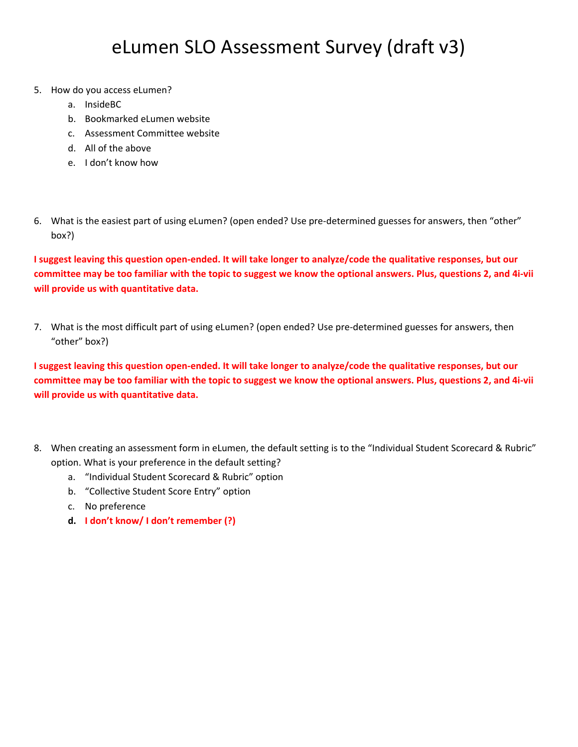- 5. How do you access eLumen?
	- a. InsideBC
	- b. Bookmarked eLumen website
	- c. Assessment Committee website
	- d. All of the above
	- e. I don't know how
- 6. What is the easiest part of using eLumen? (open ended? Use pre-determined guesses for answers, then "other" box?)

**I suggest leaving this question open-ended. It will take longer to analyze/code the qualitative responses, but our committee may be too familiar with the topic to suggest we know the optional answers. Plus, questions 2, and 4i-vii will provide us with quantitative data.** 

7. What is the most difficult part of using eLumen? (open ended? Use pre-determined guesses for answers, then "other" box?)

**I suggest leaving this question open-ended. It will take longer to analyze/code the qualitative responses, but our committee may be too familiar with the topic to suggest we know the optional answers. Plus, questions 2, and 4i-vii will provide us with quantitative data.** 

- 8. When creating an assessment form in eLumen, the default setting is to the "Individual Student Scorecard & Rubric" option. What is your preference in the default setting?
	- a. "Individual Student Scorecard & Rubric" option
	- b. "Collective Student Score Entry" option
	- c. No preference
	- **d. I don't know/ I don't remember (?)**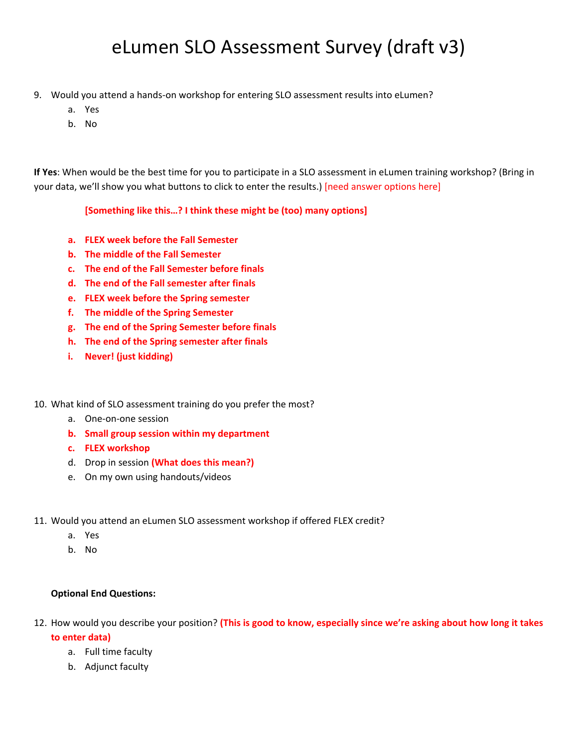- 9. Would you attend a hands-on workshop for entering SLO assessment results into eLumen?
	- a. Yes
	- b. No

**If Yes**: When would be the best time for you to participate in a SLO assessment in eLumen training workshop? (Bring in your data, we'll show you what buttons to click to enter the results.) [need answer options here]

**[Something like this…? I think these might be (too) many options]** 

- **a. FLEX week before the Fall Semester**
- **b. The middle of the Fall Semester**
- **c. The end of the Fall Semester before finals**
- **d. The end of the Fall semester after finals**
- **e. FLEX week before the Spring semester**
- **f. The middle of the Spring Semester**
- **g. The end of the Spring Semester before finals**
- **h. The end of the Spring semester after finals**
- **i. Never! (just kidding)**

#### 10. What kind of SLO assessment training do you prefer the most?

- a. One-on-one session
- **b. Small group session within my department**
- **c. FLEX workshop**
- d. Drop in session **(What does this mean?)**
- e. On my own using handouts/videos
- 11. Would you attend an eLumen SLO assessment workshop if offered FLEX credit?
	- a. Yes
	- b. No

#### **Optional End Questions:**

- 12. How would you describe your position? **(This is good to know, especially since we're asking about how long it takes to enter data)** 
	- a. Full time faculty
	- b. Adjunct faculty